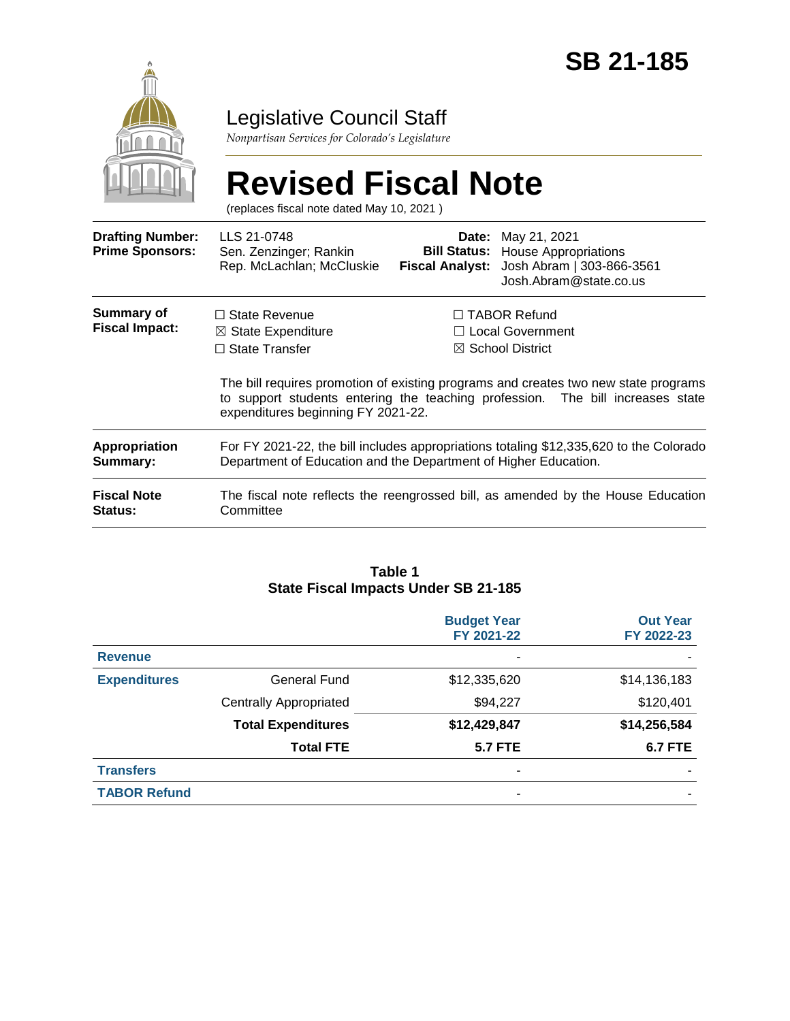

### Legislative Council Staff

*Nonpartisan Services for Colorado's Legislature*

# **Revised Fiscal Note**

(replaces fiscal note dated May 10, 2021 )

| <b>Drafting Number:</b><br><b>Prime Sponsors:</b> | LLS 21-0748<br>Sen. Zenzinger; Rankin<br>Rep. McLachlan; McCluskie                                                                                                                                          | Date:                   | May 21, 2021<br><b>Bill Status:</b> House Appropriations<br>Fiscal Analyst: Josh Abram   303-866-3561<br>Josh.Abram@state.co.us |  |
|---------------------------------------------------|-------------------------------------------------------------------------------------------------------------------------------------------------------------------------------------------------------------|-------------------------|---------------------------------------------------------------------------------------------------------------------------------|--|
| Summary of<br><b>Fiscal Impact:</b>               | $\Box$ State Revenue                                                                                                                                                                                        | $\Box$ TABOR Refund     |                                                                                                                                 |  |
|                                                   | $\boxtimes$ State Expenditure                                                                                                                                                                               | $\Box$ Local Government |                                                                                                                                 |  |
|                                                   | $\Box$ State Transfer                                                                                                                                                                                       |                         | $\boxtimes$ School District                                                                                                     |  |
|                                                   | The bill requires promotion of existing programs and creates two new state programs<br>to support students entering the teaching profession. The bill increases state<br>expenditures beginning FY 2021-22. |                         |                                                                                                                                 |  |
| Appropriation<br>Summary:                         | For FY 2021-22, the bill includes appropriations totaling \$12,335,620 to the Colorado<br>Department of Education and the Department of Higher Education.                                                   |                         |                                                                                                                                 |  |
| <b>Fiscal Note</b><br><b>Status:</b>              | The fiscal note reflects the reengrossed bill, as amended by the House Education<br>Committee                                                                                                               |                         |                                                                                                                                 |  |

#### **Table 1 State Fiscal Impacts Under SB 21-185**

|                     |                               | <b>Budget Year</b><br>FY 2021-22 | <b>Out Year</b><br>FY 2022-23 |
|---------------------|-------------------------------|----------------------------------|-------------------------------|
| <b>Revenue</b>      |                               | ۰                                |                               |
| <b>Expenditures</b> | <b>General Fund</b>           | \$12,335,620                     | \$14,136,183                  |
|                     | <b>Centrally Appropriated</b> | \$94,227                         | \$120,401                     |
|                     | <b>Total Expenditures</b>     | \$12,429,847                     | \$14,256,584                  |
|                     | <b>Total FTE</b>              | <b>5.7 FTE</b>                   | <b>6.7 FTE</b>                |
| <b>Transfers</b>    |                               | ۰                                |                               |
| <b>TABOR Refund</b> |                               | -                                |                               |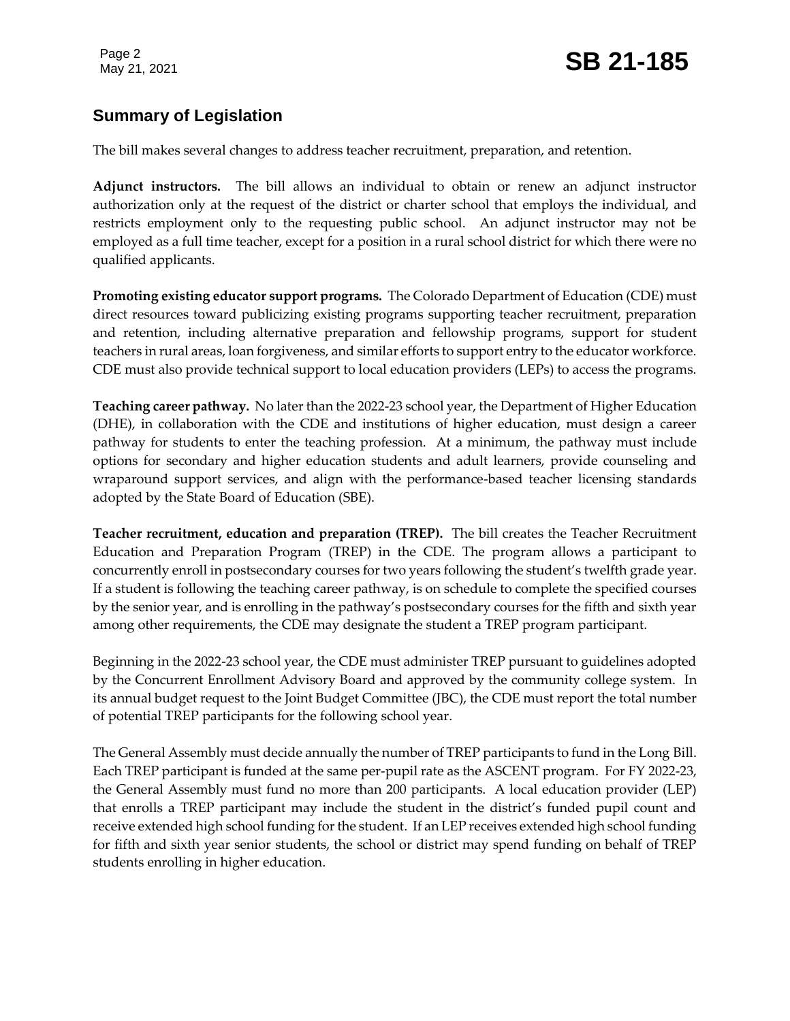### **Summary of Legislation**

The bill makes several changes to address teacher recruitment, preparation, and retention.

**Adjunct instructors.** The bill allows an individual to obtain or renew an adjunct instructor authorization only at the request of the district or charter school that employs the individual, and restricts employment only to the requesting public school. An adjunct instructor may not be employed as a full time teacher, except for a position in a rural school district for which there were no qualified applicants.

**Promoting existing educator support programs.** The Colorado Department of Education (CDE) must direct resources toward publicizing existing programs supporting teacher recruitment, preparation and retention, including alternative preparation and fellowship programs, support for student teachers in rural areas, loan forgiveness, and similar efforts to support entry to the educator workforce. CDE must also provide technical support to local education providers (LEPs) to access the programs.

**Teaching career pathway.** No later than the 2022-23 school year, the Department of Higher Education (DHE), in collaboration with the CDE and institutions of higher education, must design a career pathway for students to enter the teaching profession. At a minimum, the pathway must include options for secondary and higher education students and adult learners, provide counseling and wraparound support services, and align with the performance-based teacher licensing standards adopted by the State Board of Education (SBE).

**Teacher recruitment, education and preparation (TREP).** The bill creates the Teacher Recruitment Education and Preparation Program (TREP) in the CDE. The program allows a participant to concurrently enroll in postsecondary courses for two years following the student's twelfth grade year. If a student is following the teaching career pathway, is on schedule to complete the specified courses by the senior year, and is enrolling in the pathway's postsecondary courses for the fifth and sixth year among other requirements, the CDE may designate the student a TREP program participant.

Beginning in the 2022-23 school year, the CDE must administer TREP pursuant to guidelines adopted by the Concurrent Enrollment Advisory Board and approved by the community college system. In its annual budget request to the Joint Budget Committee (JBC), the CDE must report the total number of potential TREP participants for the following school year.

The General Assembly must decide annually the number of TREP participants to fund in the Long Bill. Each TREP participant is funded at the same per-pupil rate as the ASCENT program. For FY 2022-23, the General Assembly must fund no more than 200 participants. A local education provider (LEP) that enrolls a TREP participant may include the student in the district's funded pupil count and receive extended high school funding for the student. If an LEP receives extended high school funding for fifth and sixth year senior students, the school or district may spend funding on behalf of TREP students enrolling in higher education.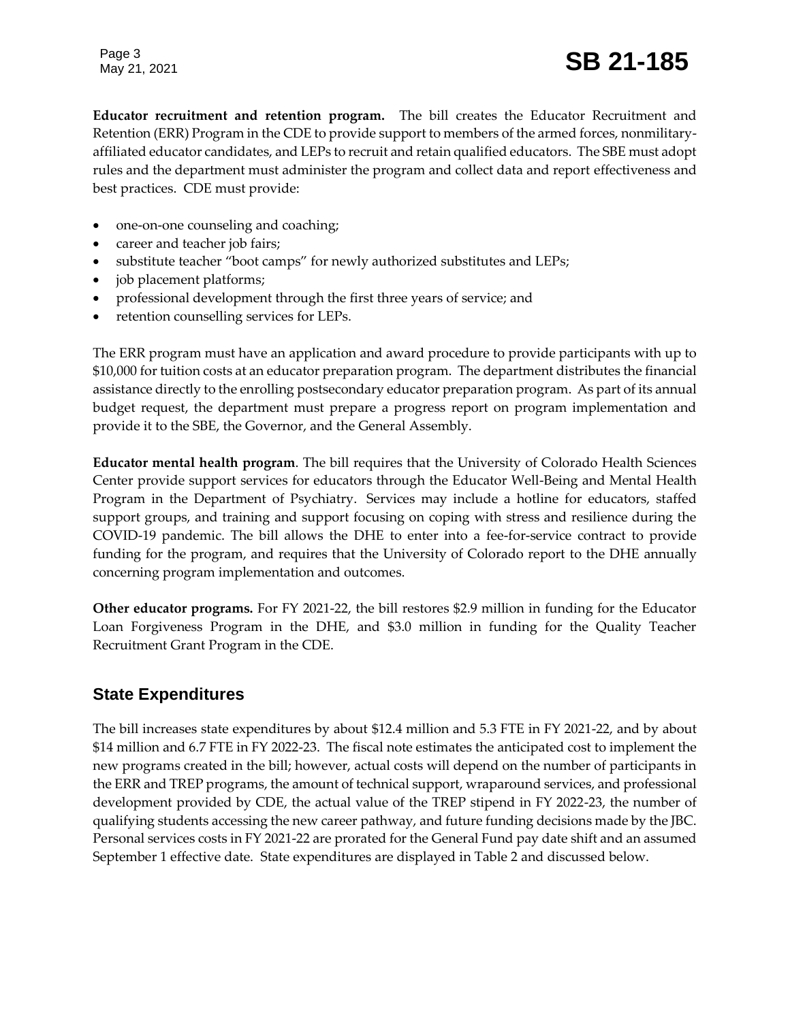Page 3

## May 21, 2021 **SB 21-185**

**Educator recruitment and retention program.** The bill creates the Educator Recruitment and Retention (ERR) Program in the CDE to provide support to members of the armed forces, nonmilitaryaffiliated educator candidates, and LEPs to recruit and retain qualified educators. The SBE must adopt rules and the department must administer the program and collect data and report effectiveness and best practices. CDE must provide:

- one-on-one counseling and coaching;
- career and teacher job fairs;
- substitute teacher "boot camps" for newly authorized substitutes and LEPs;
- job placement platforms;
- professional development through the first three years of service; and
- retention counselling services for LEPs.

The ERR program must have an application and award procedure to provide participants with up to \$10,000 for tuition costs at an educator preparation program. The department distributes the financial assistance directly to the enrolling postsecondary educator preparation program. As part of its annual budget request, the department must prepare a progress report on program implementation and provide it to the SBE, the Governor, and the General Assembly.

**Educator mental health program**. The bill requires that the University of Colorado Health Sciences Center provide support services for educators through the Educator Well-Being and Mental Health Program in the Department of Psychiatry. Services may include a hotline for educators, staffed support groups, and training and support focusing on coping with stress and resilience during the COVID-19 pandemic. The bill allows the DHE to enter into a fee-for-service contract to provide funding for the program, and requires that the University of Colorado report to the DHE annually concerning program implementation and outcomes.

**Other educator programs.** For FY 2021-22, the bill restores \$2.9 million in funding for the Educator Loan Forgiveness Program in the DHE, and \$3.0 million in funding for the Quality Teacher Recruitment Grant Program in the CDE.

#### **State Expenditures**

The bill increases state expenditures by about \$12.4 million and 5.3 FTE in FY 2021-22, and by about \$14 million and 6.7 FTE in FY 2022-23. The fiscal note estimates the anticipated cost to implement the new programs created in the bill; however, actual costs will depend on the number of participants in the ERR and TREP programs, the amount of technical support, wraparound services, and professional development provided by CDE, the actual value of the TREP stipend in FY 2022-23, the number of qualifying students accessing the new career pathway, and future funding decisions made by the JBC. Personal services costs in FY 2021-22 are prorated for the General Fund pay date shift and an assumed September 1 effective date. State expenditures are displayed in Table 2 and discussed below.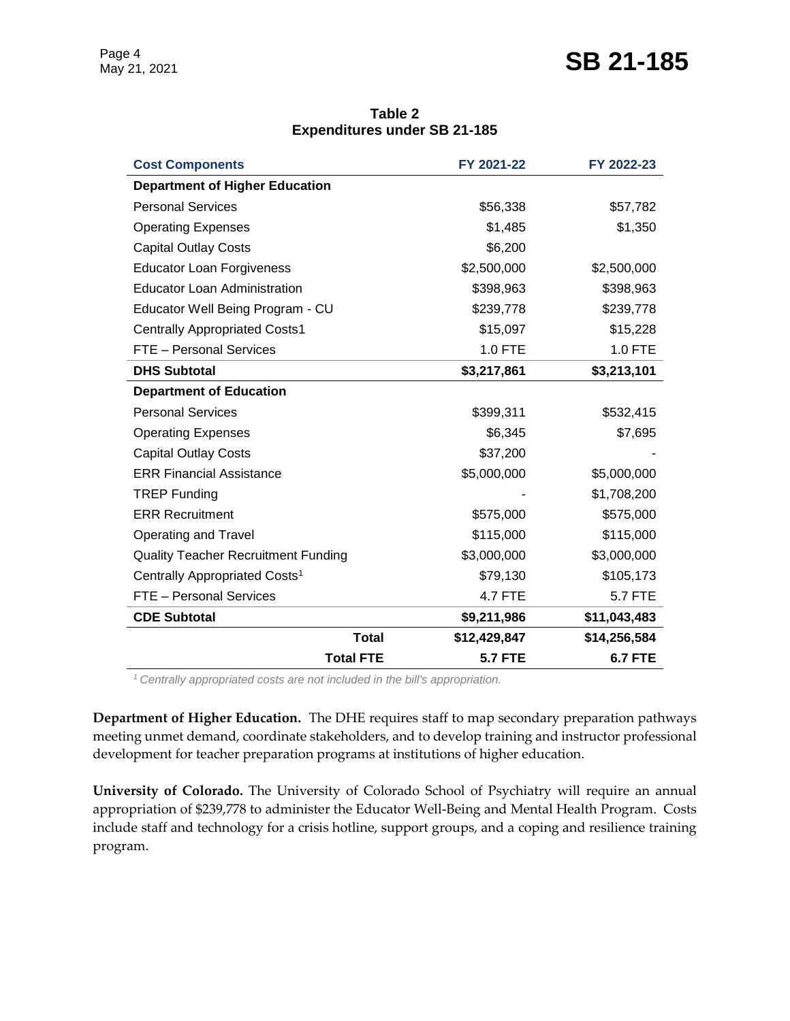### May 21, 2021 **SB 21-185**

| Table 2                             |  |  |  |  |  |
|-------------------------------------|--|--|--|--|--|
| <b>Expenditures under SB 21-185</b> |  |  |  |  |  |

| <b>Cost Components</b>                     | FY 2021-22     | FY 2022-23     |
|--------------------------------------------|----------------|----------------|
| <b>Department of Higher Education</b>      |                |                |
| <b>Personal Services</b>                   | \$56,338       | \$57,782       |
| <b>Operating Expenses</b>                  | \$1,485        | \$1,350        |
| <b>Capital Outlay Costs</b>                | \$6,200        |                |
| <b>Educator Loan Forgiveness</b>           | \$2,500,000    | \$2,500,000    |
| <b>Educator Loan Administration</b>        | \$398,963      | \$398,963      |
| Educator Well Being Program - CU           | \$239,778      | \$239,778      |
| <b>Centrally Appropriated Costs1</b>       | \$15,097       | \$15,228       |
| <b>FTE</b> - Personal Services             | 1.0 FTE        | 1.0 FTE        |
| <b>DHS Subtotal</b>                        | \$3,217,861    | \$3,213,101    |
| <b>Department of Education</b>             |                |                |
| <b>Personal Services</b>                   | \$399,311      | \$532,415      |
| <b>Operating Expenses</b>                  | \$6,345        | \$7,695        |
| <b>Capital Outlay Costs</b>                | \$37,200       |                |
| <b>ERR Financial Assistance</b>            | \$5,000,000    | \$5,000,000    |
| <b>TREP Funding</b>                        |                | \$1,708,200    |
| <b>ERR Recruitment</b>                     | \$575,000      | \$575,000      |
| <b>Operating and Travel</b>                | \$115,000      | \$115,000      |
| <b>Quality Teacher Recruitment Funding</b> | \$3,000,000    | \$3,000,000    |
| Centrally Appropriated Costs <sup>1</sup>  | \$79,130       | \$105,173      |
| FTE - Personal Services                    | <b>4.7 FTE</b> | <b>5.7 FTE</b> |
| <b>CDE Subtotal</b>                        | \$9,211,986    | \$11,043,483   |
| <b>Total</b>                               | \$12,429,847   | \$14,256,584   |
| <b>Total FTE</b>                           | <b>5.7 FTE</b> | <b>6.7 FTE</b> |

*<sup>1</sup>Centrally appropriated costs are not included in the bill's appropriation.*

**Department of Higher Education.** The DHE requires staff to map secondary preparation pathways meeting unmet demand, coordinate stakeholders, and to develop training and instructor professional development for teacher preparation programs at institutions of higher education.

**University of Colorado.** The University of Colorado School of Psychiatry will require an annual appropriation of \$239,778 to administer the Educator Well-Being and Mental Health Program. Costs include staff and technology for a crisis hotline, support groups, and a coping and resilience training program.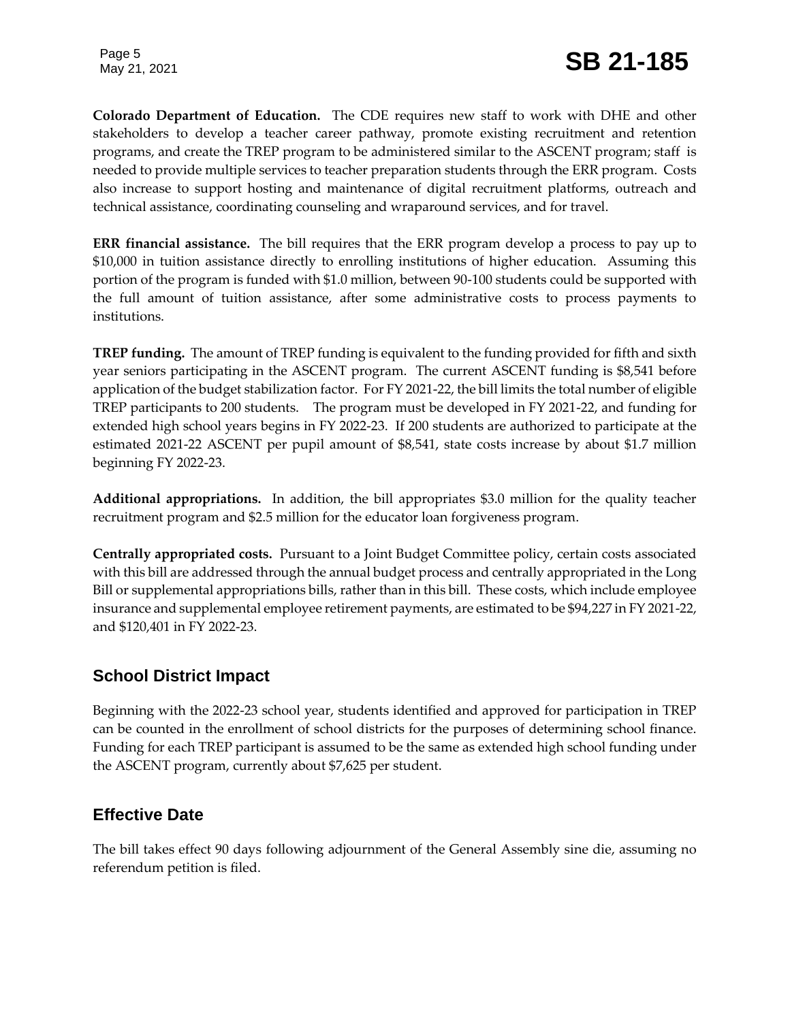**Colorado Department of Education.** The CDE requires new staff to work with DHE and other stakeholders to develop a teacher career pathway, promote existing recruitment and retention programs, and create the TREP program to be administered similar to the ASCENT program; staff is needed to provide multiple services to teacher preparation students through the ERR program. Costs also increase to support hosting and maintenance of digital recruitment platforms, outreach and technical assistance, coordinating counseling and wraparound services, and for travel.

**ERR financial assistance.** The bill requires that the ERR program develop a process to pay up to \$10,000 in tuition assistance directly to enrolling institutions of higher education. Assuming this portion of the program is funded with \$1.0 million, between 90-100 students could be supported with the full amount of tuition assistance, after some administrative costs to process payments to institutions.

**TREP funding.** The amount of TREP funding is equivalent to the funding provided for fifth and sixth year seniors participating in the ASCENT program. The current ASCENT funding is \$8,541 before application of the budget stabilization factor. For FY 2021-22, the bill limits the total number of eligible TREP participants to 200 students. The program must be developed in FY 2021-22, and funding for extended high school years begins in FY 2022-23. If 200 students are authorized to participate at the estimated 2021-22 ASCENT per pupil amount of \$8,541, state costs increase by about \$1.7 million beginning FY 2022-23.

**Additional appropriations.** In addition, the bill appropriates \$3.0 million for the quality teacher recruitment program and \$2.5 million for the educator loan forgiveness program.

**Centrally appropriated costs.** Pursuant to a Joint Budget Committee policy, certain costs associated with this bill are addressed through the annual budget process and centrally appropriated in the Long Bill or supplemental appropriations bills, rather than in this bill. These costs, which include employee insurance and supplemental employee retirement payments, are estimated to be \$94,227 in FY 2021-22, and \$120,401 in FY 2022-23.

### **School District Impact**

Beginning with the 2022-23 school year, students identified and approved for participation in TREP can be counted in the enrollment of school districts for the purposes of determining school finance. Funding for each TREP participant is assumed to be the same as extended high school funding under the ASCENT program, currently about \$7,625 per student.

### **Effective Date**

The bill takes effect 90 days following adjournment of the General Assembly sine die, assuming no referendum petition is filed.